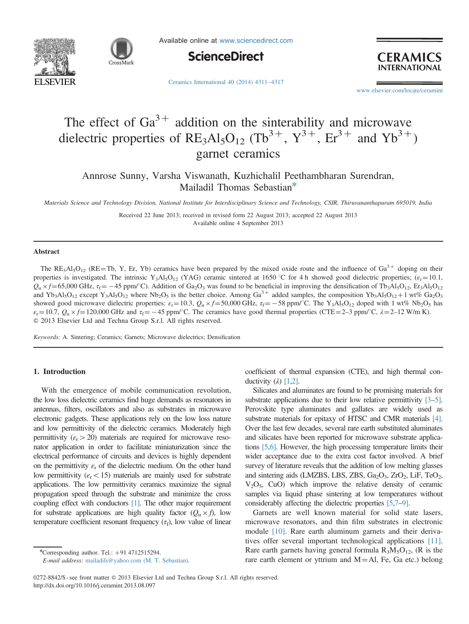



Available online at [www.sciencedirect.com](www.sciencedirect.com/science/journal/02728842)



**CERAMI INTERNATION** 

[Ceramics International 40 \(2014\) 4311](http://dx.doi.org/10.1016/j.ceramint.2013.08.097)–4317

<www.elsevier.com/locate/ceramint>

# The effect of  $Ga^{3+}$  addition on the sinterability and microwave dielectric properties of  $RE_3Al_5O_{12}$  (Tb<sup>3+</sup>, Y<sup>3+</sup>, Er<sup>3+</sup> and Yb<sup>3+</sup>) garnet ceramics

Annrose Sunny, Varsha Viswanath, Kuzhichalil Peethambharan Surendran, Mailadil Thomas Sebastian<sup>\*</sup>

Materials Science and Technology Division, National Institute for Interdisciplinary Science and Technology, CSIR, Thiruvananthapuram 695019, India

Received 22 June 2013; received in revised form 22 August 2013; accepted 22 August 2013 Available online 4 September 2013

#### Abstract

The  $RE_3Al_5O_{12}$  ( $RE=Th$ , Y, Er, Yb) ceramics have been prepared by the mixed oxide route and the influence of  $Ga^{3+}$  doping on their properties is investigated. The intrinsic Y<sub>3</sub>Al<sub>5</sub>O<sub>12</sub> (YAG) ceramic sintered at 1650 °C for 4 h showed good dielectric properties; ( $\varepsilon$ <sub>r</sub> = 10.1,  $Q_u \times f = 65,000 \text{ GHz}, \tau_f = -45 \text{ ppm/}^{\circ}\text{C}$ . Addition of Ga<sub>2</sub>O<sub>3</sub> was found to be beneficial in improving the densification of Tb<sub>3</sub>Al<sub>5</sub>O<sub>12</sub>, Er<sub>3</sub>Al<sub>5</sub>O<sub>12</sub> and Yb<sub>3</sub>Al<sub>5</sub>O<sub>12</sub> except Y<sub>3</sub>Al<sub>5</sub>O<sub>12</sub> where Nb<sub>2</sub>O<sub>5</sub> is the better choice. Among Ga<sup>3+</sup> added samples, the composition Yb<sub>3</sub>Al<sub>5</sub>O<sub>12</sub>+1 wt% Ga<sub>2</sub>O<sub>3</sub> showed good microwave dielectric properties:  $\varepsilon_r = 10.3$ ,  $Q_u \times f = 50,000$  GHz,  $\tau_f = -58$  ppm/°C. The Y<sub>3</sub>Al<sub>5</sub>O<sub>12</sub> doped with 1 wt% Nb<sub>2</sub>O<sub>5</sub> has  $\varepsilon_r = 10.7$ ,  $Q_u \times f = 120,000$  GHz and  $\tau_f = -45$  ppm/<sup>o</sup>C. The ceramics have good thermal properties (CTE = 2–3 ppm/<sup>o</sup>C,  $\lambda = 2-12$  W/m K). & 2013 Elsevier Ltd and Techna Group S.r.l. All rights reserved.

Keywords: A. Sintering; Ceramics; Garnets; Microwave dielectrics; Densification

## 1. Introduction

With the emergence of mobile communication revolution, the low loss dielectric ceramics find huge demands as resonators in antennas, filters, oscillators and also as substrates in microwave electronic gadgets. These applications rely on the low loss nature and low permittivity of the dielectric ceramics. Moderately high permittivity ( $\epsilon_{\rm r}$  > 20) materials are required for microwave resonator application in order to facilitate miniaturization since the electrical performance of circuits and devices is highly dependent on the permittivity  $\varepsilon_r$  of the dielectric medium. On the other hand low permittivity ( $\varepsilon$ <sub>r</sub> < 15) materials are mainly used for substrate applications. The low permittivity ceramics maximize the signal propagation speed through the substrate and minimize the cross coupling effect with conductors [\[1\]](#page-5-0). The other major requirement for substrate applications are high quality factor  $(Q_u \times f)$ , low temperature coefficient resonant frequency  $(\tau_f)$ , low value of linear coefficient of thermal expansion (CTE), and high thermal conductivity  $(\lambda)$  [\[1,2\]](#page-5-0).

Silicates and aluminates are found to be promising materials for substrate applications due to their low relative permittivity [\[3](#page-5-0)–[5\]](#page-5-0). Perovskite type aluminates and gallates are widely used as substrate materials for epitaxy of HTSC and CMR materials [\[4\]](#page-5-0). Over the last few decades, several rare earth substituted aluminates and silicates have been reported for microwave substrate applications [\[5](#page-5-0),[6\]](#page-5-0). However, the high processing temperature limits their wider acceptance due to the extra cost factor involved. A brief survey of literature reveals that the addition of low melting glasses and sintering aids (LMZBS, LBS, ZBS,  $Ga_2O_3$ , ZrO<sub>2</sub>, LiF, TeO<sub>2</sub>,  $V_2O_5$ , CuO) which improve the relative density of ceramic samples via liquid phase sintering at low temperatures without considerably affecting the dielectric properties [\[5,7](#page-5-0)–[9\].](#page-5-0)

Garnets are well known material for solid state lasers, microwave resonators, and thin film substrates in electronic module [\[10\]](#page-6-0). Rare earth aluminum garnets and their derivatives offer several important technological applications [\[11\]](#page-6-0). Rare earth garnets having general formula  $R_3M_5O_{12}$ , (R is the rare earth element or yttrium and  $M = AI$ , Fe, Ga etc.) belong

 $*$ Corresponding author. Tel.:  $+91$  4712515294.

E-mail address: [mailadils@yahoo.com \(M. T. Sebastian\).](mailto:mailadils@yahoo.com)

<sup>0272-8842/\$ -</sup> see front matter  $©$  2013 Elsevier Ltd and Techna Group S.r.l. All rights reserved. <http://dx.doi.org/10.1016/j.ceramint.2013.08.097>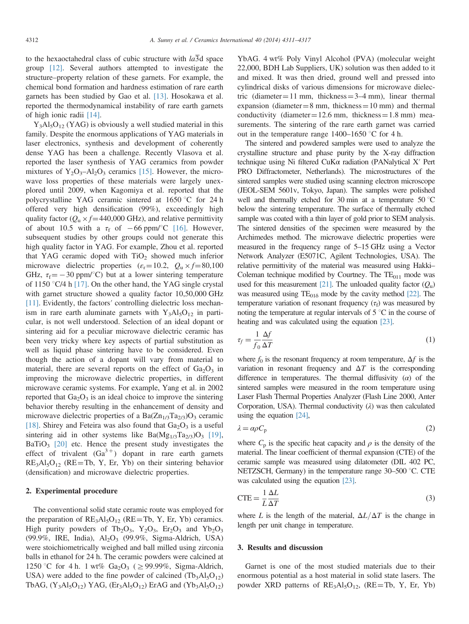to the hexaoctahedral class of cubic structure with  $a\overline{3}d$  space group [\[12\]](#page-6-0). Several authors attempted to investigate the structure–property relation of these garnets. For example, the chemical bond formation and hardness estimation of rare earth garnets has been studied by Gao et al. [\[13\]](#page-6-0). Hosokawa et al. reported the thermodynamical instability of rare earth garnets of high ionic radii [\[14\].](#page-6-0)

 $Y_3A_1S_0_{12}$  (YAG) is obviously a well studied material in this family. Despite the enormous applications of YAG materials in laser electronics, synthesis and development of coherently dense YAG has been a challenge. Recently Vlasova et al. reported the laser synthesis of YAG ceramics from powder mixtures of  $Y_2O_3 - Al_2O_3$  ceramics [\[15\]](#page-6-0). However, the microwave loss properties of these materials were largely unexplored until 2009, when Kagomiya et al. reported that the polycrystalline YAG ceramic sintered at  $1650 \degree C$  for 24 h offered very high densification (99%), exceedingly high quality factor ( $Q_u \times f = 440,000$  GHz), and relative permittivity of about 10.5 with a  $\tau_f$  of  $-66$  ppm/°C [\[16\]](#page-6-0). However, subsequent studies by other groups could not generate this high quality factor in YAG. For example, Zhou et al. reported that YAG ceramic doped with  $TiO<sub>2</sub>$  showed much inferior microwave dielectric properties  $(\varepsilon_r = 10.2, Q_u \times f = 80,100$ GHz,  $\tau_f = -30$  ppm/°C) but at a lower sintering temperature of 1150  $\degree$ C/4 h [\[17\].](#page-6-0) On the other hand, the YAG single crystal with garnet structure showed a quality factor 10,50,000 GHz [\[11\]](#page-6-0). Evidently, the factors' controlling dielectric loss mechanism in rare earth aluminate garnets with  $Y_3A_1S_01_2$  in particular, is not well understood. Selection of an ideal dopant or sintering aid for a peculiar microwave dielectric ceramic has been very tricky where key aspects of partial substitution as well as liquid phase sintering have to be considered. Even though the action of a dopant will vary from material to material, there are several reports on the effect of  $Ga<sub>2</sub>O<sub>3</sub>$  in improving the microwave dielectric properties, in different microwave ceramic systems. For example, Yang et al. in 2002 reported that  $Ga<sub>2</sub>O<sub>3</sub>$  is an ideal choice to improve the sintering behavior thereby resulting in the enhancement of density and microwave dielectric properties of a Ba $(Zn_{1/3}Ta_{2/3})O_3$  ceramic [\[18\]](#page-6-0). Shirey and Feteira was also found that  $Ga<sub>2</sub>O<sub>3</sub>$  is a useful sintering aid in other systems like  $Ba(Mg_{1/3}Ta_{2/3})O_3$  [\[19\]](#page-6-0), BaTiO<sub>3</sub> [\[20\]](#page-6-0) etc. Hence the present study investigates the effect of trivalent  $(Ga^{3+})$  dopant in rare earth garnets  $RE<sub>3</sub>Al<sub>5</sub>O<sub>12</sub>$  (RE=Tb, Y, Er, Yb) on their sintering behavior (densification) and microwave dielectric properties.

## 2. Experimental procedure

The conventional solid state ceramic route was employed for the preparation of  $RE<sub>3</sub>Al<sub>5</sub>O<sub>12</sub>$  (RE=Tb, Y, Er, Yb) ceramics. High purity powders of Tb<sub>2</sub>O<sub>3</sub>, Y<sub>2</sub>O<sub>3</sub>, Er<sub>2</sub>O<sub>3</sub> and Yb<sub>2</sub>O<sub>3</sub> (99.9%, IRE, India),  $Al_2O_3$  (99.9%, Sigma-Aldrich, USA) were stoichiometrically weighed and ball milled using zirconia balls in ethanol for 24 h. The ceramic powders were calcined at 1250 °C for 4 h. 1 wt%  $Ga_2O_3$  ( $\geq$  99.99%, Sigma-Aldrich, USA) were added to the fine powder of calcined  $(Tb_3Al_5O_{12})$ TbAG,  $(Y_3A1_5O_{12})$  YAG,  $(Er_3A1_5O_{12})$  ErAG and  $(Yb_3A1_5O_{12})$  YbAG. 4 wt% Poly Vinyl Alcohol (PVA) (molecular weight 22,000, BDH Lab Suppliers, UK) solution was then added to it and mixed. It was then dried, ground well and pressed into cylindrical disks of various dimensions for microwave dielectric (diameter = 11 mm, thickness =  $3-4$  mm), linear thermal expansion (diameter  $= 8$  mm, thickness  $= 10$  mm) and thermal conductivity (diameter =  $12.6$  mm, thickness =  $1.8$  mm) measurements. The sintering of the rare earth garnet was carried out in the temperature range  $1400-1650$  °C for 4 h.

The sintered and powdered samples were used to analyze the crystalline structure and phase purity by the X-ray diffraction technique using Ni filtered CuKα radiation (PANalytical X′ Pert PRO Diffractometer, Netherlands). The microstructures of the sintered samples were studied using scanning electron microscope (JEOL-SEM 5601v, Tokyo, Japan). The samples were polished well and thermally etched for 30 min at a temperature  $50^{\circ}$ C below the sintering temperature. The surface of thermally etched sample was coated with a thin layer of gold prior to SEM analysis. The sintered densities of the specimen were measured by the Archimedes method. The microwave dielectric properties were measured in the frequency range of 5–15 GHz using a Vector Network Analyzer (E5071C, Agilent Technologies, USA). The relative permittivity of the material was measured using Hakki– Coleman technique modified by Courtney. The  $TE<sub>011</sub>$  mode was used for this measurement [\[21\]](#page-6-0). The unloaded quality factor  $(Q_{\rm u})$ was measured using  $TE_{01\delta}$  mode by the cavity method [\[22\]](#page-6-0). The temperature variation of resonant frequency  $(\tau_f)$  was measured by noting the temperature at regular intervals of  $5^{\circ}$ C in the course of heating and was calculated using the equation [\[23\]](#page-6-0).

$$
\tau_f = \frac{1}{f_0} \frac{\Delta f}{\Delta T} \tag{1}
$$

where  $f_0$  is the resonant frequency at room temperature,  $\Delta f$  is the variation in resonant frequency and  $\Delta T$  is the corresponding difference in temperatures. The thermal diffusivity  $(\alpha)$  of the sintered samples were measured in the room temperature using Laser Flash Thermal Properties Analyzer (Flash Line 2000, Anter Corporation, USA). Thermal conductivity  $(\lambda)$  was then calculated using the equation [\[24\]](#page-6-0),

$$
\lambda = \alpha \rho C_p \tag{2}
$$

where  $C_p$  is the specific heat capacity and  $\rho$  is the density of the material. The linear coefficient of thermal expansion (CTE) of the ceramic sample was measured using dilatometer (DIL 402 PC, NETZSCH, Germany) in the temperature range  $30-500$  °C. CTE was calculated using the equation [\[23\]](#page-6-0).

$$
CTE = \frac{1}{L} \frac{\Delta L}{\Delta T}
$$
 (3)

where L is the length of the material,  $\Delta L/\Delta T$  is the change in length per unit change in temperature.

#### 3. Results and discussion

Garnet is one of the most studied materials due to their enormous potential as a host material in solid state lasers. The powder XRD patterns of  $RE_3Al_5O_{12}$ , (RE=Tb, Y, Er, Yb)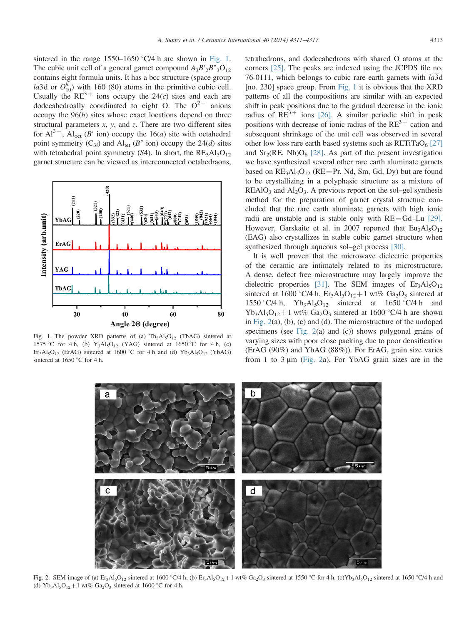<span id="page-2-0"></span>sintered in the range 1550–1650  $\degree$ C/4 h are shown in Fig. 1. The cubic unit cell of a general garnet compound  $A_3B'_3B''_3O_{12}$ contains eight formula units. It has a bcc structure (space group  $la\overline{3}d$  or  $O_{10}^h$ ) with 160 (80) atoms in the primitive cubic cell. Usually the  $RE^{3+}$  ions occupy the 24(c) sites and each are dodecahedroally coordinated to eight O. The  $O^{2-}$  anions occupy the  $96(h)$  sites whose exact locations depend on three structural parameters  $x$ ,  $y$ , and  $z$ . There are two different sites for  $Al^{3+}$ , Al<sub>oct</sub> (B' ion) occupy the 16(*a*) site with octahedral point symmetry  $(C_{3i})$  and  $Al_{tet}$  ( $B''$  ion) occupy the 24(d) sites with tetrahedral point symmetry (S4). In short, the  $RE_3Al_5O_{12}$ garnet structure can be viewed as interconnected octahedraons,



Fig. 1. The powder XRD patterns of (a)  $Tb_3Al_5O_{12}$  (TbAG) sintered at 1575 °C for 4 h, (b)  $Y_3Al_5O_{12}$  (YAG) sintered at 1650 °C for 4 h, (c) Er<sub>3</sub>Al<sub>5</sub>O<sub>12</sub> (ErAG) sintered at 1600 °C for 4 h and (d)  $Yb_3Al_5O_{12}$  (YbAG) sintered at 1650  $\degree$ C for 4 h.

tetrahedrons, and dodecahedrons with shared O atoms at the corners [\[25\]](#page-6-0). The peaks are indexed using the JCPDS file no. 76-0111, which belongs to cubic rare earth garnets with  $a\overline{3}d$ [no. 230] space group. From Fig. 1 it is obvious that the XRD patterns of all the compositions are similar with an expected shift in peak positions due to the gradual decrease in the ionic radius of  $RE^{3+}$  ions [\[26\]](#page-6-0). A similar periodic shift in peak positions with decrease of ionic radius of the  $RE<sup>3+</sup>$  cation and subsequent shrinkage of the unit cell was observed in several other low loss rare earth based systems such as  $RETiTaO<sub>6</sub> [27]$  $RETiTaO<sub>6</sub> [27]$ and  $Sr_2(RE, Nb)O_6$  [\[28\].](#page-6-0) As part of the present investigation we have synthesized several other rare earth aluminate garnets based on  $RE_3Al_5O_{12}$  (RE=Pr, Nd, Sm, Gd, Dy) but are found to be crystallizing in a polyphasic structure as a mixture of  $REAIO<sub>3</sub>$  and  $Al<sub>2</sub>O<sub>3</sub>$ . A previous report on the sol–gel synthesis method for the preparation of garnet crystal structure concluded that the rare earth aluminate garnets with high ionic radii are unstable and is stable only with  $RE = Gd$ –Lu [\[29\]](#page-6-0). However, Garskaite et al. in 2007 reported that  $Eu<sub>3</sub>Al<sub>5</sub>O<sub>12</sub>$ (EAG) also crystallizes in stable cubic garnet structure when synthesized through aqueous sol–gel process [\[30\]](#page-6-0).

It is well proven that the microwave dielectric properties of the ceramic are intimately related to its microstructure. A dense, defect free microstructure may largely improve the dielectric properties [\[31\]](#page-6-0). The SEM images of  $Er<sub>3</sub>Al<sub>5</sub>O<sub>12</sub>$ sintered at 1600 °C/4 h,  $Er_3Al_5O_{12}+1$  wt%  $Ga_2O_3$  sintered at 1550 °C/4 h, Yb<sub>3</sub>Al<sub>5</sub>O<sub>12</sub> sintered at 1650 °C/4 h and  $Yb_3Al_5O_{12}+1$  wt%  $Ga_2O_3$  sintered at 1600 °C/4 h are shown in Fig. 2(a), (b), (c) and (d). The microstructure of the undoped specimens (see Fig. 2(a) and (c)) shows polygonal grains of varying sizes with poor close packing due to poor densification (ErAG (90%) and YbAG (88%)). For ErAG, grain size varies from 1 to 3  $\mu$ m (Fig. 2a). For YbAG grain sizes are in the



Fig. 2. SEM image of (a) Er<sub>3</sub>Al<sub>5</sub>O<sub>12</sub> sintered at 1600 °C/4 h, (b) Er<sub>3</sub>Al<sub>5</sub>O<sub>12</sub> + 1 wt% Ga<sub>2</sub>O<sub>3</sub> sintered at 1550 °C for 4 h, (c)Yb<sub>3</sub>Al<sub>5</sub>O<sub>12</sub> sintered at 1650 °C/4 h and (d) Yb<sub>3</sub>Al<sub>5</sub>O<sub>12</sub> + 1 wt% Ga<sub>2</sub>O<sub>3</sub> sintered at 1600 °C for 4 h.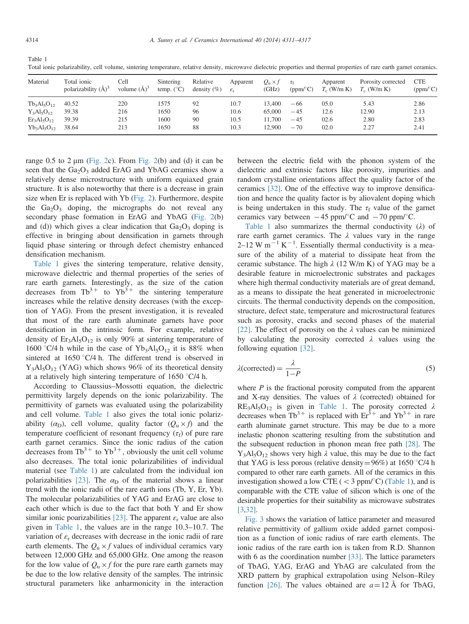<span id="page-3-0"></span>Table 1 Total ionic polarizability, cell volume, sintering temperature, relative density, microwave dielectric properties and thermal properties of rare earth garnet ceramics.

| Material         | Total ionic<br>polarizability $(\check{A})^3$ | Cell<br>volume $(A)^3$ | Sintering<br>temp. $(^{\circ}C)$ | Relative<br>density $(\% )$ | Apparent<br>$\varepsilon_{r}$ | $Q_{\rm u} \times f$<br>(GHz) | $\tau_{\rm f}$<br>(ppm/°C) | Apparent<br>$T_c$ (W/m K) | Porosity corrected<br>$T_c$ (W/m K) | <b>CTE</b><br>(ppm/°C) |
|------------------|-----------------------------------------------|------------------------|----------------------------------|-----------------------------|-------------------------------|-------------------------------|----------------------------|---------------------------|-------------------------------------|------------------------|
| $Tb_3Al_5O_{12}$ | 40.52                                         | 220                    | 1575                             | 92                          | 10.7                          | 13.400                        | $-66$                      | 05.0                      | 5.43                                | 2.86                   |
| $Y_3Al_5O_{12}$  | 39.38                                         | 216                    | 1650                             | 96                          | 10.6                          | 65,000                        | $-45$                      | 12.6                      | 12.90                               | 2.13                   |
| $Er3Al5O12$      | 39.39                                         | 215                    | 1600                             | 90                          | 10.5                          | 11.700                        | $-45$                      | 02.6                      | 2.80                                | 2.83                   |
| $Yb_3Al_5O_{12}$ | 38.64                                         | 213                    | 1650                             | 88                          | 10.3                          | 12.900                        | $-70$                      | 02.0                      | 2.27                                | 2.41                   |

range  $0.5$  to  $2 \mu m$  [\(Fig. 2](#page-2-0)c). From [Fig. 2](#page-2-0)(b) and (d) it can be seen that the  $Ga_2O_3$  added ErAG and YbAG ceramics show a relatively dense microstructure with uniform equiaxed grain structure. It is also noteworthy that there is a decrease in grain size when Er is replaced with Yb ([Fig. 2](#page-2-0)). Furthermore, despite the  $Ga<sub>2</sub>O<sub>3</sub>$  doping, the micrographs do not reveal any secondary phase formation in ErAG and YbAG [\(Fig. 2](#page-2-0)(b) and (d)) which gives a clear indication that  $Ga<sub>2</sub>O<sub>3</sub>$  doping is effective in bringing about densification in garnets through liquid phase sintering or through defect chemistry enhanced densification mechanism.

Table 1 gives the sintering temperature, relative density, microwave dielectric and thermal properties of the series of rare earth garnets. Interestingly, as the size of the cation decreases from  $Tb^{3+}$  to  $Yb^{3+}$  the sintering temperature increases while the relative density decreases (with the exception of YAG). From the present investigation, it is revealed that most of the rare earth aluminate garnets have poor densification in the intrinsic form. For example, relative density of  $Er_3Al_5O_{12}$  is only 90% at sintering temperature of 1600 °C/4 h while in the case of  $Yb_3Al_5O_{12}$  it is 88% when sintered at  $1650 \degree C/4$  h. The different trend is observed in  $Y_3Al_5O_{12}$  (YAG) which shows 96% of its theoretical density at a relatively high sintering temperature of  $1650 \degree C/4$  h.

According to Claussius–Mossotti equation, the dielectric permittivity largely depends on the ionic polarizability. The permittivity of garnets was evaluated using the polarizability and cell volume. Table 1 also gives the total ionic polarizability  $(\alpha_{\rm D})$ , cell volume, quality factor  $(Q_{\rm u} \times f)$  and the temperature coefficient of resonant frequency ( $\tau_f$ ) of pure rare earth garnet ceramics. Since the ionic radius of the cation decreases from  $\text{Tb}^{3+}$  to  $\text{Yb}^{3+}$ , obviously the unit cell volume also decreases. The total ionic polarizabilities of individual material (see Table 1) are calculated from the individual ion polarizabilities [\[23\]](#page-6-0). The  $\alpha_{\rm D}$  of the material shows a linear trend with the ionic radii of the rare earth ions (Tb, Y, Er, Yb). The molecular polarizabilities of YAG and ErAG are close to each other which is due to the fact that both Y and Er show similar ionic poarizabilities [\[23\].](#page-6-0) The apparent  $\varepsilon_r$  value are also given in Table 1, the values are in the range 10.3–10.7. The variation of  $\varepsilon_r$  decreases with decrease in the ionic radii of rare earth elements. The  $Q_u \times f$  values of individual ceramics vary between 12,000 GHz and 65,000 GHz. One among the reason for the low value of  $Q_u \times f$  for the pure rare earth garnets may be due to the low relative density of the samples. The intrinsic structural parameters like anharmonicity in the interaction

between the electric field with the phonon system of the dielectric and extrinsic factors like porosity, impurities and random crystalline orientations affect the quality factor of the ceramics [\[32\]](#page-6-0). One of the effective way to improve densification and hence the quality factor is by aliovalent doping which is being undertaken in this study. The  $\tau_f$  value of the garnet ceramics vary between  $-45$  ppm/ $\degree$ C and  $-70$  ppm/ $\degree$ C.

Table 1 also summarizes the thermal conductivity  $(\lambda)$  of rare earth garnet ceramics. The  $\lambda$  values vary in the range  $2-12$  W m<sup>-1</sup> K<sup>-1</sup>. Essentially thermal conductivity is a measure of the ability of a material to dissipate heat from the ceramic substance. The high  $\lambda$  (12 W/m K) of YAG may be a desirable feature in microelectronic substrates and packages where high thermal conductivity materials are of great demand, as a means to dissipate the heat generated in microelectronic circuits. The thermal conductivity depends on the composition, structure, defect state, temperature and microstructural features such as porosity, cracks and second phases of the material [\[22\]](#page-6-0). The effect of porosity on the  $\lambda$  values can be minimized by calculating the porosity corrected  $\lambda$  values using the following equation [\[32\].](#page-6-0)

$$
\lambda(\text{corrected}) = \frac{\lambda}{1 - P} \tag{5}
$$

where  $P$  is the fractional porosity computed from the apparent and X-ray densities. The values of  $\lambda$  (corrected) obtained for  $RE<sub>3</sub>Al<sub>5</sub>O<sub>12</sub>$  is given in Table 1. The porosity corrected  $\lambda$ decreases when Tb<sup>3+</sup> is replaced with  $Er^{3+}$  and Yb<sup>3+</sup> in rare earth aluminate garnet structure. This may be due to a more inelastic phonon scattering resulting from the substitution and the subsequent reduction in phonon mean free path [\[28\]](#page-6-0). The  $Y_3A_5O_{12}$  shows very high  $\lambda$  value, this may be due to the fact that YAG is less porous (relative density =  $96\%$ ) at 1650 °C/4 h compared to other rare earth garnets. All of the ceramics in this investigation showed a low CTE ( $<$  3 ppm/ $\degree$ C) (Table 1), and is comparable with the CTE value of silicon which is one of the desirable properties for their suitability as microwave substrates [\[3,](#page-5-0)[32\].](#page-6-0)

[Fig. 3](#page-4-0) shows the variation of lattice parameter and measured relative permittivity of gallium oxide added garnet composition as a function of ionic radius of rare earth elements. The ionic radius of the rare earth ion is taken from R.D. Shannon with 6 as the coordination number [\[33\].](#page-6-0) The lattice parameters of TbAG, YAG, ErAG and YbAG are calculated from the XRD pattern by graphical extrapolation using Nelson–Riley function [\[26\].](#page-6-0) The values obtained are  $a=12 \text{ Å}$  for TbAG,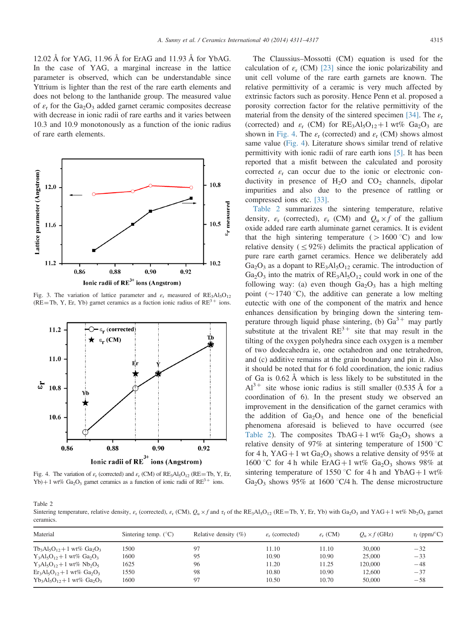<span id="page-4-0"></span>12.02 Å for YAG, 11.96 Å for ErAG and 11.93 Å for YbAG. In the case of YAG, a marginal increase in the lattice parameter is observed, which can be understandable since Yttrium is lighter than the rest of the rare earth elements and does not belong to the lanthanide group. The measured value of  $\varepsilon$ <sub>r</sub> for the Ga<sub>2</sub>O<sub>3</sub> added garnet ceramic composites decrease with decrease in ionic radii of rare earths and it varies between 10.3 and 10.9 monotonously as a function of the ionic radius of rare earth elements.



Fig. 3. The variation of lattice parameter and  $\varepsilon$ <sub>r</sub> measured of RE<sub>3</sub>Al<sub>5</sub>O<sub>12</sub> (RE=Tb, Y, Er, Yb) garnet ceramics as a fuction ionic radius of  $RE^{3+}$  ions.



Fig. 4. The variation of  $\varepsilon_r$  (corrected) and  $\varepsilon_r$  (CM) of RE<sub>3</sub>Al<sub>5</sub>O<sub>12</sub> (RE = Tb, Y, Er, Yb)+1 wt% Ga<sub>2</sub>O<sub>3</sub> garnet ceramics as a function of ionic radii of  $RE^{3+}$  ions.

The Claussius–Mossotti (CM) equation is used for the calculation of  $\varepsilon_r$  (CM) [\[23\]](#page-6-0) since the ionic polarizability and unit cell volume of the rare earth garnets are known. The relative permittivity of a ceramic is very much affected by extrinsic factors such as porosity. Hence Penn et al. proposed a porosity correction factor for the relative permittivity of the material from the density of the sintered specimen [\[34\]](#page-6-0). The  $\varepsilon_r$ (corrected) and  $\varepsilon_r$  (CM) for RE<sub>3</sub>Al<sub>5</sub>O<sub>12</sub> + 1 wt% Ga<sub>2</sub>O<sub>3</sub> are shown in Fig. 4. The  $\varepsilon_r$  (corrected) and  $\varepsilon_r$  (CM) shows almost same value (Fig. 4). Literature shows similar trend of relative permittivity with ionic radii of rare earth ions [\[5\].](#page-5-0) It has been reported that a misfit between the calculated and porosity corrected  $\varepsilon_r$  can occur due to the ionic or electronic conductivity in presence of  $H_2O$  and  $CO_2$  channels, dipolar impurities and also due to the presence of rattling or compressed ions etc. [\[33\].](#page-6-0)

Table 2 summarizes the sintering temperature, relative density,  $\varepsilon_r$  (corrected),  $\varepsilon_r$  (CM) and  $Q_u \times f$  of the gallium oxide added rare earth aluminate garnet ceramics. It is evident that the high sintering temperature ( $>1600$  °C) and low relative density ( $\leq 92\%$ ) delimits the practical application of pure rare earth garnet ceramics. Hence we deliberately add  $Ga<sub>2</sub>O<sub>3</sub>$  as a dopant to  $RE<sub>3</sub>Al<sub>5</sub>O<sub>12</sub>$  ceramic. The introduction of  $Ga<sub>2</sub>O<sub>3</sub>$  into the matrix of  $RE<sub>3</sub>Al<sub>5</sub>O<sub>12</sub>$  could work in one of the following way: (a) even though  $Ga_2O_3$  has a high melting point ( $\sim$ 1740 °C), the additive can generate a low melting eutectic with one of the component of the matrix and hence enhances densification by bringing down the sintering temperature through liquid phase sintering, (b)  $Ga^{3+}$  may partly substitute at the trivalent  $RE^{3+}$  site that may result in the tilting of the oxygen polyhedra since each oxygen is a member of two dodecahedra ie, one octahedron and one tetrahedron, and (c) additive remains at the grain boundary and pin it. Also it should be noted that for 6 fold coordination, the ionic radius of Ga is 0.62 Å which is less likely to be substituted in the  $Al^{3+}$  site whose ionic radius is still smaller (0.535 Å for a coordination of 6). In the present study we observed an improvement in the densification of the garnet ceramics with the addition of  $Ga_2O_3$  and hence one of the beneficial phenomena aforesaid is believed to have occurred (see Table 2). The composites TbAG+1 wt%  $Ga_2O_3$  shows a relative density of 97% at sintering temperature of 1500  $\degree$ C for 4 h, YAG + 1 wt Ga<sub>2</sub>O<sub>3</sub> shows a relative density of 95% at 1600 °C for 4 h while ErAG+1 wt% Ga<sub>2</sub>O<sub>3</sub> shows 98% at sintering temperature of 1550 °C for 4 h and YbAG+1 wt% Ga<sub>2</sub>O<sub>3</sub> shows 95% at 1600  $\degree$ C/4 h. The dense microstructure

Table 2

Sintering temperature, relative density,  $\varepsilon_r$  (corrected),  $\varepsilon_r$  (CM),  $Q_u \times f$  and  $\tau_f$  of the RE<sub>3</sub>Al<sub>5</sub>O<sub>12</sub> (RE=Tb, Y, Er, Yb) with Ga<sub>2</sub>O<sub>3</sub> and YAG+1 wt% Nb<sub>2</sub>O<sub>5</sub> garnet ceramics.

| Material                         | Sintering temp. $(^{\circ}C)$ | Relative density $(\%)$ | $\varepsilon_{r}$ (corrected) | $\varepsilon_{r}$ (CM) | $Q_{\rm u} \times f$ (GHz) | $\tau_f$ (ppm/°C) |
|----------------------------------|-------------------------------|-------------------------|-------------------------------|------------------------|----------------------------|-------------------|
| $Tb_3Al_5O_{12}+1$ wt% $Ga_2O_3$ | 1500                          | 97                      | 11.10                         | 11.10                  | 30,000                     | $-32$             |
| $Y_3Al_5O_{12}+1$ wt% $Ga_2O_3$  | 1600                          | 95                      | 10.90                         | 10.90                  | 25,000                     | $-33$             |
| $Y_3Al_5O_{12}+1$ wt% $Nb_2O_5$  | 1625                          | 96                      | 11.20                         | 11.25                  | 120,000                    | $-48$             |
| $Er_3Al_5O_{12}+1$ wt% $Ga_2O_3$ | 1550                          | 98                      | 10.80                         | 10.90                  | 12,600                     | $-37$             |
| $Yb_3Al_5O_{12}+1$ wt% $Ga_2O_3$ | 1600                          | 97                      | 10.50                         | 10.70                  | 50,000                     | $-58$             |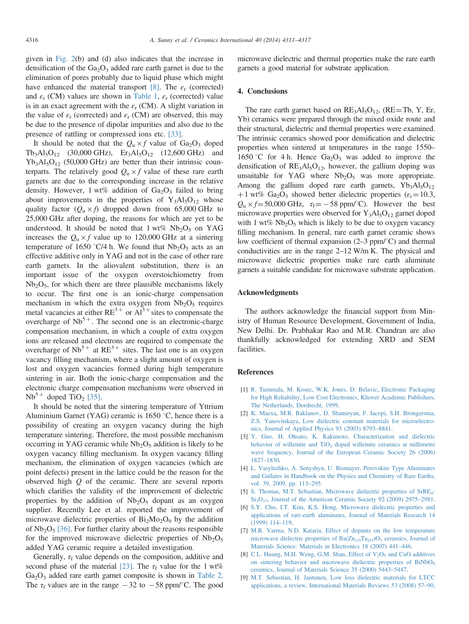<span id="page-5-0"></span>given in [Fig. 2\(](#page-2-0)b) and (d) also indicates that the increase in densification of the  $Ga<sub>2</sub>O<sub>3</sub>$  added rare earth garnet is due to the elimination of pores probably due to liquid phase which might have enhanced the material transport [8]. The  $\varepsilon_r$  (corrected) and  $\varepsilon_r$  (CM) values are shown in [Table 1](#page-3-0),  $\varepsilon_r$  (corrected) value is in an exact agreement with the  $\varepsilon_r$  (CM). A slight variation in the value of  $\varepsilon_r$  (corrected) and  $\varepsilon_r$  (CM) are observed, this may be due to the presence of dipolar impurities and also due to the presence of rattling or compressed ions etc. [\[33\]](#page-6-0).

It should be noted that the  $Q_u \times f$  value of Ga<sub>2</sub>O<sub>3</sub> doped  $Tb_3Al_5O_{12}$  (30,000 GHz),  $Er_3Al_5O_{12}$  (12,600 GHz) and  $Yb_3Al_5O_{12}$  (50,000 GHz) are better than their intrinsic counterparts. The relatively good  $Q_u \times f$  value of these rare earth garnets are due to the corresponding increase in the relative density. However, 1 wt% addition of  $Ga<sub>2</sub>O<sub>3</sub>$  failed to bring about improvements in the properties of  $Y_3AI_5O_{12}$  whose quality factor  $(Q_u \times f)$  dropped down from 65,000 GHz to 25,000 GHz after doping, the reasons for which are yet to be understood. It should be noted that  $1 \text{ wt\%}$  Nb<sub>2</sub>O<sub>5</sub> on YAG increases the  $Q_u \times f$  value up to 120,000 GHz at a sintering temperature of 1650 °C/4 h. We found that  $Nb<sub>2</sub>O<sub>5</sub>$  acts as an effective additive only in YAG and not in the case of other rare earth garnets. In the aliovalent substitution, there is an important issue of the oxygen overstoichiometry from  $Nb<sub>2</sub>O<sub>5</sub>$ , for which there are three plausible mechanisms likely to occur. The first one is an ionic-charge compensation mechanism in which the extra oxygen from  $Nb<sub>2</sub>O<sub>5</sub>$  requires metal vacancies at either  $RE^{3+}$  or  $Al^{3+}$  sites to compensate the overcharge of  $Nb<sup>5+</sup>$ . The second one is an electronic-charge compensation mechanism, in which a couple of extra oxygen ions are released and electrons are required to compensate the overcharge of  $Nb^{5+}$  at  $RE^{3+}$  sites. The last one is an oxygen vacancy filling mechanism, where a slight amount of oxygen is lost and oxygen vacancies formed during high temperature sintering in air. Both the ionic-charge compensation and the electronic charge compensation mechanisms were observed in  $Nb<sup>5+</sup>$  doped TiO<sub>2</sub> [\[35\]](#page-6-0).

It should be noted that the sintering temperature of Yttrium Aluminium Garnet (YAG) ceramic is  $1650^{\circ}$ C, hence there is a possibility of creating an oxygen vacancy during the high temperature sintering. Therefore, the most possible mechanism occurring in YAG ceramic while  $Nb<sub>2</sub>O<sub>5</sub>$  addition is likely to be oxygen vacancy filling mechanism. In oxygen vacancy filling mechanism, the elimination of oxygen vacancies (which are point defects) present in the lattice could be the reason for the observed high  $Q$  of the ceramic. There are several reports which clarifies the validity of the improvement of dielectric properties by the addition of  $Nb<sub>2</sub>O<sub>5</sub>$  dopant as an oxygen supplier. Recently Lee et al. reported the improvement of microwave dielectric properties of  $Bi_2Mo_2O_9$  by the addition of  $Nb<sub>2</sub>O<sub>5</sub>$  [\[36\]](#page-6-0). For further clarity about the reasons responsible for the improved microwave dielectric properties of  $Nb<sub>2</sub>O<sub>5</sub>$ added YAG ceramic require a detailed investigation.

Generally,  $\tau_f$  value depends on the composition, additive and second phase of the material [\[23\].](#page-6-0) The  $\tau_f$  value for the 1 wt%  $Ga<sub>2</sub>O<sub>3</sub>$  added rare earth garnet composite is shown in [Table 2](#page-4-0). The  $\tau_f$  values are in the range  $-32$  to  $-58$  ppm/°C. The good

microwave dielectric and thermal properties make the rare earth garnets a good material for substrate application.

#### 4. Conclusions

The rare earth garnet based on  $RE_3Al_5O_{12}$ , ( $RE = Tb$ , Y, Er, Yb) ceramics were prepared through the mixed oxide route and their structural, dielectric and thermal properties were examined. The intrinsic ceramics showed poor densification and dielectric properties when sintered at temperatures in the range 1550– 1650 °C for 4 h. Hence  $Ga<sub>2</sub>O<sub>3</sub>$  was added to improve the densification of  $RE_3Al_5O_{12}$ , however, the gallium doping was unsuitable for YAG where  $Nb<sub>2</sub>O<sub>5</sub>$  was more appropriate. Among the gallium doped rare earth garnets,  $Yb_3Al_5O_{12}$ +1 wt% Ga<sub>2</sub>O<sub>3</sub> showed better dielectric properties ( $\varepsilon$ <sub>r</sub> = 10.3,  $Q_u \times f = 50,000$  GHz,  $\tau_f = -58$  ppm/°C). However the best microwave properties were observed for  $Y_3Al_5O_{12}$  garnet doped with 1 wt%  $Nb<sub>2</sub>O<sub>5</sub>$  which is likely to be due to oxygen vacancy filling mechanism. In general, rare earth garnet ceramic shows low coefficient of thermal expansion  $(2-3 ppm)^{\circ}$ C) and thermal conductivities are in the range 2–12 W/m K. The physical and microwave dielectric properties make rare earth aluminate garnets a suitable candidate for microwave substrate application.

#### Acknowledgments

The authors acknowledge the financial support from Ministry of Human Resource Development, Government of India, New Delhi. Dr. Prabhakar Rao and M.R. Chandran are also thankfully acknowledged for extending XRD and SEM facilities.

### References

- [1] [R. Tummala, M. Kosec, W.K. Jones, D. Belavic, Electronic Packaging](http://refhub.elsevier.com/S0272-8842(13)01056-0/sbref1) [for High Reliability, Low Cost Electronics, Kluwer Academic Publishers,](http://refhub.elsevier.com/S0272-8842(13)01056-0/sbref1) [The Netherlands, Dordrecht, 1999.](http://refhub.elsevier.com/S0272-8842(13)01056-0/sbref1)
- [2] [K. Maexa, M.R. Baklanov, D. Shamiryan, F. Iacopi, S.H. Brongersma,](http://refhub.elsevier.com/S0272-8842(13)01056-0/sbref2) [Z.S. Yanovitskaya, Low dielectric constant materials for microelectro](http://refhub.elsevier.com/S0272-8842(13)01056-0/sbref2)[nics, Journal of Applied Physics 93 \(2003\) 8793](http://refhub.elsevier.com/S0272-8842(13)01056-0/sbref2)–8841.
- [3] [Y. Guo, H. Ohsato, K. Kakimoto, Characterization and dielectric](http://refhub.elsevier.com/S0272-8842(13)01056-0/sbref3) behavior of willemite and  $TiO<sub>2</sub>$  [doped willemite ceramics at millimetre](http://refhub.elsevier.com/S0272-8842(13)01056-0/sbref3) [wave frequency, Journal of the European Ceramic Society 26 \(2006\)](http://refhub.elsevier.com/S0272-8842(13)01056-0/sbref3) 1827–[1830.](http://refhub.elsevier.com/S0272-8842(13)01056-0/sbref3)
- [4] [L. Vasylechko, A. Senyshyn, U. Bismayer, Perovskite Type Aluminates](http://refhub.elsevier.com/S0272-8842(13)01056-0/othref0005) [and Gallates in Handbook on the Physics and Chemistry of Rare Earths,](http://refhub.elsevier.com/S0272-8842(13)01056-0/othref0005) [vol. 39, 2009, pp. 113](http://refhub.elsevier.com/S0272-8842(13)01056-0/othref0005)–295.
- [5] [S. Thomas, M.T. Sebastian, Microwave dielectric properties of SrRE4-](http://refhub.elsevier.com/S0272-8842(13)01056-0/sbref4)  $Si<sub>3</sub>O<sub>13</sub>$ , Journal of the American Ceramic Society 92 (2009) 2975–2981.
- [6] [S.Y. Cho, I.T. Kim, K.S. Hong, Microwave dielectric properties and](http://refhub.elsevier.com/S0272-8842(13)01056-0/sbref5) [applications of rare-earth aluminates, Journal of Materials Research 14](http://refhub.elsevier.com/S0272-8842(13)01056-0/sbref5) [\(1999\) 114](http://refhub.elsevier.com/S0272-8842(13)01056-0/sbref5)–119.
- [7] [M.R. Varma, N.D. Kataria, Effect of dopants on the low temperature](http://refhub.elsevier.com/S0272-8842(13)01056-0/sbref6) microwave dielectric properties of  $Ba(Zn_{1/3}Ta_{2/3})O_3$  [ceramics, Journal of](http://refhub.elsevier.com/S0272-8842(13)01056-0/sbref6) [Materials Science: Materials in Electronics 18 \(2007\) 441](http://refhub.elsevier.com/S0272-8842(13)01056-0/sbref6)–446.
- [8] C.L. Huang, M.H. Weng, G.M. Shan, Effect of  $V_2O_5$  [and CuO additives](http://refhub.elsevier.com/S0272-8842(13)01056-0/sbref7) [on sintering behavior and microwave dielectric properties of BiNbO4](http://refhub.elsevier.com/S0272-8842(13)01056-0/sbref7) [ceramics, Journal of Materials Science 35 \(2000\) 5443](http://refhub.elsevier.com/S0272-8842(13)01056-0/sbref7)–5447.
- [9] [M.T. Sebastian, H. Jantunen, Low loss dielectric materials for LTCC](http://refhub.elsevier.com/S0272-8842(13)01056-0/sbref8) [applications, a review, International Materials Reviews 53 \(2008\) 57](http://refhub.elsevier.com/S0272-8842(13)01056-0/sbref8)–90.